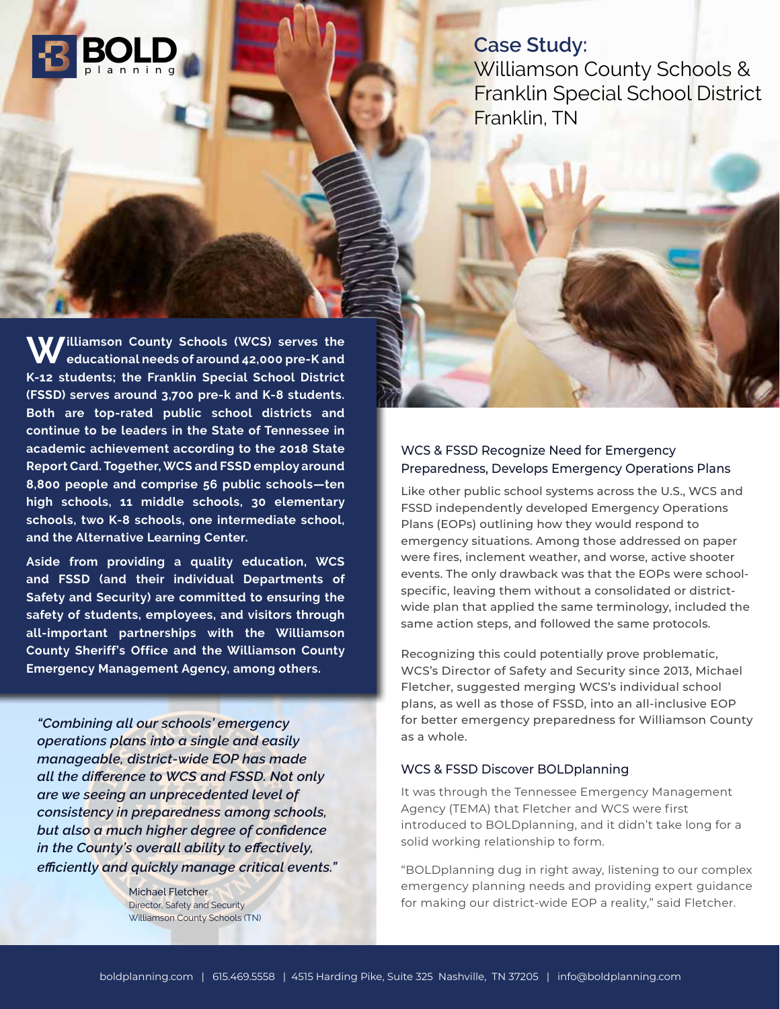

**Case Study:**  Williamson County Schools & Franklin Special School District Franklin, TN

**Williamson County Schools (WCS) serves the educational needs of around 42,000 pre-K and K-12 students; the Franklin Special School District (FSSD) serves around 3,700 pre-k and K-8 students. Both are top-rated public school districts and continue to be leaders in the State of Tennessee in academic achievement according to the 2018 State Report Card. Together, WCS and FSSD employ around 8,800 people and comprise 56 public schools—ten high schools, 11 middle schools, 30 elementary schools, two K-8 schools, one intermediate school, and the Alternative Learning Center.** 

**Aside from providing a quality education, WCS and FSSD (and their individual Departments of Safety and Security) are committed to ensuring the safety of students, employees, and visitors through all-important partnerships with the Williamson County Sheriff's Office and the Williamson County Emergency Management Agency, among others.** 

*"Combining all our schools' emergency operations plans into a single and easily manageable, district-wide EOP has made all the difference to WCS and FSSD. Not only are we seeing an unprecedented level of consistency in preparedness among schools, but also a much higher degree of confidence in the County's overall ability to effectively, efficiently and quickly manage critical events."*

> Michael Fletcher Director, Safety and Security Williamson County Schools (TN)

## WCS & FSSD Recognize Need for Emergency Preparedness, Develops Emergency Operations Plans

Like other public school systems across the U.S., WCS and FSSD independently developed Emergency Operations Plans (EOPs) outlining how they would respond to emergency situations. Among those addressed on paper were fires, inclement weather, and worse, active shooter events. The only drawback was that the EOPs were schoolspecific, leaving them without a consolidated or districtwide plan that applied the same terminology, included the same action steps, and followed the same protocols.

Recognizing this could potentially prove problematic, WCS's Director of Safety and Security since 2013, Michael Fletcher, suggested merging WCS's individual school plans, as well as those of FSSD, into an all-inclusive EOP for better emergency preparedness for Williamson County as a whole.

## WCS & FSSD Discover BOLDplanning

It was through the Tennessee Emergency Management Agency (TEMA) that Fletcher and WCS were first introduced to BOLDplanning, and it didn't take long for a solid working relationship to form.

"BOLDplanning dug in right away, listening to our complex emergency planning needs and providing expert guidance for making our district-wide EOP a reality," said Fletcher.